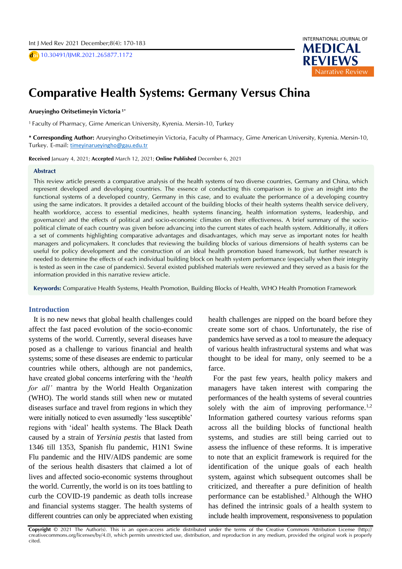D **doi** 10.30491/IJMR.2021.265877.1172



## $\overline{ }$ **Comparative Health Systems: Germany Versus China**

# A **Arueyingho Oritsetimeyin Victoria 1\***

<sub>S</sub> <sup>1</sup> Faculty of Pharmacy, Girne American University, Kyrenia. Mersin-10, Turkey<br>.

**\* Corresponding Author:** Arueyingho Oritsetimeyin Victoria, Faculty of Pharmacy, Girne American University, Kyrenia. Mersin-10, Turkey. E-mail: [timeyinarueyingho@gau.edu.tr](mailto:timeyinarueyingho@gau.edu.tr)

**Received** January 4, 2021; **Accepted** March 12, 2021; **Online Published** December 6, 2021

#### **Abstract**

This review article presents a comparative analysis of the health systems of two diverse countries, Germany and China, which represent developed and developing countries. The essence of conducting this comparison is to give an insight into the functional systems of a developed country, Germany in this case, and to evaluate the performance of a developing country using the same indicators. It provides a detailed account of the building blocks of their health systems (health service delivery, health workforce, access to essential medicines, health systems financing, health information systems, leadership, and governance) and the effects of political and socio-economic climates on their effectiveness. A brief summary of the sociopolitical climate of each country was given before advancing into the current states of each health system. Additionally, it offers a set of comments highlighting comparative advantages and disadvantages, which may serve as important notes for health managers and policymakers. It concludes that reviewing the building blocks of various dimensions of health systems can be useful for policy development and the construction of an ideal health promotion based framework, but further research is needed to determine the effects of each individual building block on health system performance (especially when their integrity is tested as seen in the case of pandemics). Several existed published materials were reviewed and they served as a basis for the information provided in this narrative review article.

**Keywords:** Comparative Health Systems, Health Promotion, Building Blocks of Health, WHO Health Promotion Framework

### **Introduction**

It is no new news that global health challenges could affect the fast paced evolution of the socio-economic systems of the world. Currently, several diseases have posed as a challenge to various financial and health systems; some of these diseases are endemic to particular countries while others, although are not pandemics, have created global concerns interfering with the '*health for all'* mantra by the World Health Organization (WHO). The world stands still when new or mutated diseases surface and travel from regions in which they were initially noticed to even assumedly 'less susceptible' regions with 'ideal' health systems. The Black Death caused by a strain of *Yersinia pestis* that lasted from 1346 till 1353, Spanish flu pandemic, H1N1 Swine Flu pandemic and the HIV/AIDS pandemic are some of the serious health disasters that claimed a lot of lives and affected socio-economic systems throughout the world. Currently, the world is on its toes battling to curb the COVID-19 pandemic as death tolls increase and financial systems stagger. The health systems of different countries can only be appreciated when existing health challenges are nipped on the board before they create some sort of chaos. Unfortunately, the rise of pandemics have served as a tool to measure the adequacy of various health infrastructural systems and what was thought to be ideal for many, only seemed to be a farce.

For the past few years, health policy makers and managers have taken interest with comparing the performances of the health systems of several countries solely with the aim of improving performance.<sup>1,2</sup> Information gathered courtesy various reforms span across all the building blocks of functional health systems, and studies are still being carried out to assess the influence of these reforms. It is imperative to note that an explicit framework is required for the identification of the unique goals of each health system, against which subsequent outcomes shall be criticized, and thereafter a pure definition of health performance can be established.<sup>3</sup> Although the WHO has defined the intrinsic goals of a health system to include health improvement, responsiveness to population

**Copyright** © 2021 The Author(s). This is an open-access article distributed under the terms of the Creative Commons Attribution License (http:// creativecommons.org/licenses/by/4.0), which permits unrestricted use, distribution, and reproduction in any medium, provided the original work is properly cited.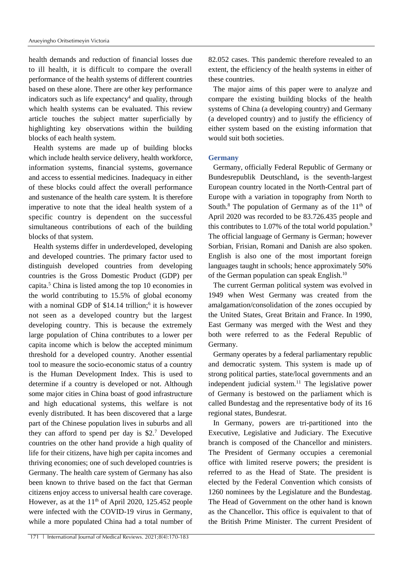health demands and reduction of financial losses due to ill health, it is difficult to compare the overall performance of the health systems of different countries based on these alone. There are other key performance indicators such as life expectancy<sup>4</sup> and quality, through which health systems can be evaluated. This review article touches the subject matter superficially by highlighting key observations within the building blocks of each health system.

Health systems are made up of building blocks which include health service delivery, health workforce, information systems, financial systems, governance and access to essential medicines. Inadequacy in either of these blocks could affect the overall performance and sustenance of the health care system. It is therefore imperative to note that the ideal health system of a specific country is dependent on the successful simultaneous contributions of each of the building blocks of that system.

Health systems differ in underdeveloped, developing and developed countries. The primary factor used to distinguish developed countries from developing countries is the Gross Domestic Product (GDP) per capita.<sup>5</sup> China is listed among the top 10 economies in the world contributing to 15.5% of global economy with a nominal GDP of \$14.14 trillion;<sup>6</sup> it is however not seen as a developed country but the largest developing country. This is because the extremely large population of China contributes to a lower per capita income which is below the accepted minimum threshold for a developed country. Another essential tool to measure the socio-economic status of a country is the Human Development Index. This is used to determine if a country is developed or not. Although some major cities in China boast of good infrastructure and high educational systems, this welfare is not evenly distributed. It has been discovered that a large part of the Chinese population lives in suburbs and all they can afford to spend per day is \$2.<sup>7</sup> Developed countries on the other hand provide a high quality of life for their citizens, have high per capita incomes and thriving economies; one of such developed countries is Germany. The health care system of Germany has also been known to thrive based on the fact that German citizens enjoy access to universal health care coverage. However, as at the  $11<sup>th</sup>$  of April 2020, 125.452 people were infected with the COVID-19 virus in Germany, while a more populated China had a total number of

82.052 cases. This pandemic therefore revealed to an extent, the efficiency of the health systems in either of these countries.

The major aims of this paper were to analyze and compare the existing building blocks of the health systems of China (a developing country) and Germany (a developed country) and to justify the efficiency of either system based on the existing information that would suit both societies.

### **Germany**

Germany, officially Federal Republic of Germany or Bundesrepublik Deutschland**,** is the seventh-largest European country located in the North-Central part of Europe with a variation in topography from North to South.<sup>8</sup> The population of Germany as of the  $11<sup>th</sup>$  of April 2020 was recorded to be 83.726.435 people and this contributes to 1.07% of the total world population.<sup>9</sup> The official language of Germany is German; however Sorbian, Frisian, Romani and Danish are also spoken. English is also one of the most important foreign languages taught in schools; hence approximately 50% of the German population can speak English.<sup>10</sup>

The current German political system was evolved in 1949 when West Germany was created from the amalgamation/consolidation of the zones occupied by the United States, Great Britain and France. In 1990, East Germany was merged with the West and they both were referred to as the Federal Republic of Germany.

Germany operates by a federal parliamentary republic and democratic system. This system is made up of strong political parties, state/local governments and an independent judicial system. $11$  The legislative power of Germany is bestowed on the parliament which is called Bundestag and the representative body of its 16 regional states, Bundesrat.

In Germany, powers are tri-partitioned into the Executive, Legislative and Judiciary. The Executive branch is composed of the Chancellor and ministers. The President of Germany occupies a ceremonial office with limited reserve powers; the president is referred to as the Head of State. The president is elected by the Federal Convention which consists of 1260 nominees by the Legislature and the Bundestag. The Head of Government on the other hand is known as the Chancellor**.** This office is equivalent to that of the British Prime Minister. The current President of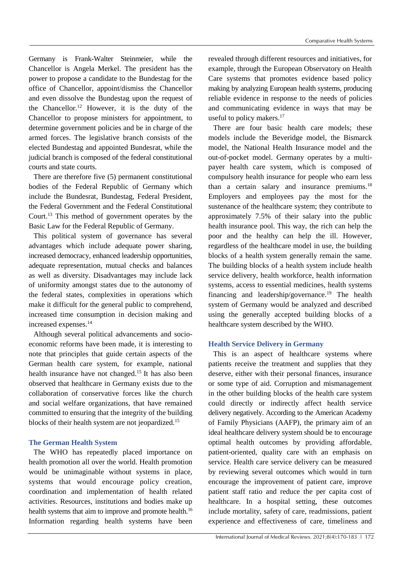Germany is Frank-Walter Steinmeier, while the Chancellor is Angela Merkel. The president has the power to propose a candidate to the Bundestag for the office of Chancellor, appoint/dismiss the Chancellor and even dissolve the Bundestag upon the request of the Chancellor.<sup>12</sup> However, it is the duty of the Chancellor to propose ministers for appointment, to determine government policies and be in charge of the armed forces. The legislative branch consists of the elected Bundestag and appointed Bundesrat, while the judicial branch is composed of the federal constitutional courts and state courts.

There are therefore five (5) permanent constitutional bodies of the Federal Republic of Germany which include the Bundesrat, Bundestag, Federal President, the Federal Government and the Federal Constitutional Court.<sup>13</sup> This method of government operates by the Basic Law for the Federal Republic of Germany.

This political system of governance has several advantages which include adequate power sharing, increased democracy, enhanced leadership opportunities, adequate representation, mutual checks and balances as well as diversity. Disadvantages may include lack of uniformity amongst states due to the autonomy of the federal states, complexities in operations which make it difficult for the general public to comprehend, increased time consumption in decision making and increased expenses.<sup>14</sup>

Although several political advancements and socioeconomic reforms have been made, it is interesting to note that principles that guide certain aspects of the German health care system, for example, national health insurance have not changed.<sup>15</sup> It has also been observed that healthcare in Germany exists due to the collaboration of conservative forces like the church and social welfare organizations, that have remained committed to ensuring that the integrity of the building blocks of their health system are not jeopardized.<sup>15</sup>

### **The German Health System**

The WHO has repeatedly placed importance on health promotion all over the world. Health promotion would be unimaginable without systems in place, systems that would encourage policy creation, coordination and implementation of health related activities. Resources, institutions and bodies make up health systems that aim to improve and promote health.<sup>16</sup> Information regarding health systems have been

revealed through different resources and initiatives, for example, through the European Observatory on Health Care systems that promotes evidence based policy making by analyzing European health systems, producing reliable evidence in response to the needs of policies and communicating evidence in ways that may be useful to policy makers.<sup>17</sup>

There are four basic health care models; these models include the Beveridge model, the Bismarck model, the National Health Insurance model and the out-of-pocket model. Germany operates by a multipayer health care system, which is composed of compulsory health insurance for people who earn less than a certain salary and insurance premiums.<sup>18</sup> Employers and employees pay the most for the sustenance of the healthcare system; they contribute to approximately 7.5% of their salary into the public health insurance pool. This way, the rich can help the poor and the healthy can help the ill. However, regardless of the healthcare model in use, the building blocks of a health system generally remain the same. The building blocks of a health system include health service delivery, health workforce, health information systems, access to essential medicines, health systems financing and leadership/governance.<sup>19</sup> The health system of Germany would be analyzed and described using the generally accepted building blocks of a healthcare system described by the WHO.

### **Health Service Delivery in Germany**

This is an aspect of healthcare systems where patients receive the treatment and supplies that they deserve, either with their personal finances, insurance or some type of aid. Corruption and mismanagement in the other building blocks of the health care system could directly or indirectly affect health service delivery negatively. According to the American Academy of Family Physicians (AAFP), the primary aim of an ideal healthcare delivery system should be to encourage optimal health outcomes by providing affordable, patient-oriented, quality care with an emphasis on service. Health care service delivery can be measured by reviewing several outcomes which would in turn encourage the improvement of patient care, improve patient staff ratio and reduce the per capita cost of healthcare. In a hospital setting, these outcomes include mortality, safety of care, readmissions, patient experience and effectiveness of care, timeliness and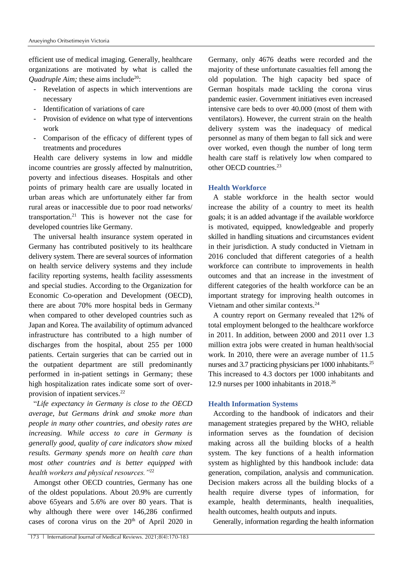efficient use of medical imaging. Generally, healthcare organizations are motivated by what is called the *Quadruple Aim;* these aims include<sup>20</sup>:

- Revelation of aspects in which interventions are necessary
- Identification of variations of care
- Provision of evidence on what type of interventions work
- Comparison of the efficacy of different types of treatments and procedures

Health care delivery systems in low and middle income countries are grossly affected by malnutrition, poverty and infectious diseases. Hospitals and other points of primary health care are usually located in urban areas which are unfortunately either far from rural areas or inaccessible due to poor road networks/ transportation.<sup>21</sup> This is however not the case for developed countries like Germany.

The universal health insurance system operated in Germany has contributed positively to its healthcare delivery system. There are several sources of information on health service delivery systems and they include facility reporting systems, health facility assessments and special studies. According to the Organization for Economic Co-operation and Development (OECD), there are about 70% more hospital beds in Germany when compared to other developed countries such as Japan and Korea. The availability of optimum advanced infrastructure has contributed to a high number of discharges from the hospital, about 255 per 1000 patients. Certain surgeries that can be carried out in the outpatient department are still predominantly performed in in-patient settings in Germany; these high hospitalization rates indicate some sort of overprovision of inpatient services.<sup>22</sup>

"*Life expectancy in Germany is close to the OECD average, but Germans drink and smoke more than people in many other countries, and obesity rates are increasing. While access to care in Germany is generally good, quality of care indicators show mixed results. Germany spends more on health care than most other countries and is better equipped with health workers and physical resources."*<sup>22</sup>

Amongst other OECD countries, Germany has one of the oldest populations. About 20.9% are currently above 65years and 5.6% are over 80 years. That is why although there were over 146,286 confirmed cases of corona virus on the  $20<sup>th</sup>$  of April 2020 in Germany, only 4676 deaths were recorded and the majority of these unfortunate casualties fell among the old population. The high capacity bed space of German hospitals made tackling the corona virus pandemic easier. Government initiatives even increased intensive care beds to over 40.000 (most of them with ventilators). However, the current strain on the health delivery system was the inadequacy of medical personnel as many of them began to fall sick and were over worked, even though the number of long term health care staff is relatively low when compared to other OECD countries.<sup>23</sup>

### **Health Workforce**

A stable workforce in the health sector would increase the ability of a country to meet its health goals; it is an added advantage if the available workforce is motivated, equipped, knowledgeable and properly skilled in handling situations and circumstances evident in their jurisdiction. A study conducted in Vietnam in 2016 concluded that different categories of a health workforce can contribute to improvements in health outcomes and that an increase in the investment of different categories of the health workforce can be an important strategy for improving health outcomes in Vietnam and other similar contexts.<sup>24</sup>

A country report on Germany revealed that 12% of total employment belonged to the healthcare workforce in 2011. In addition, between 2000 and 2011 over 1.3 million extra jobs were created in human health/social work. In 2010, there were an average number of 11.5 nurses and 3.7 practicing physicians per 1000 inhabitants.<sup>25</sup> This increased to 4.3 doctors per 1000 inhabitants and 12.9 nurses per 1000 inhabitants in 2018.<sup>26</sup>

#### **Health Information Systems**

According to the handbook of indicators and their management strategies prepared by the WHO, reliable information serves as the foundation of decision making across all the building blocks of a health system. The key functions of a health information system as highlighted by this handbook include: data generation, compilation, analysis and communication. Decision makers across all the building blocks of a health require diverse types of information, for example, health determinants, health inequalities, health outcomes, health outputs and inputs.

Generally, information regarding the health information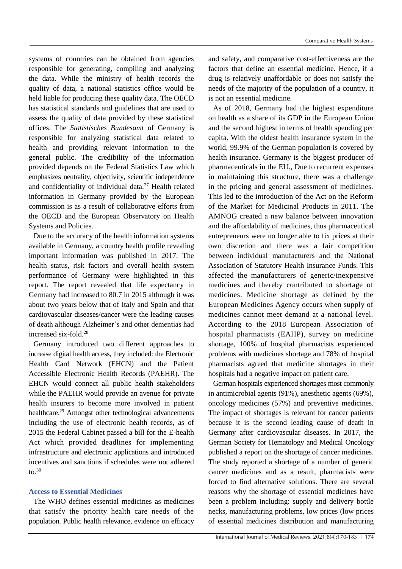systems of countries can be obtained from agencies responsible for generating, compiling and analyzing the data. While the ministry of health records the quality of data, a national statistics office would be held liable for producing these quality data. The OECD has statistical standards and guidelines that are used to assess the quality of data provided by these statistical offices. The *Statistisches Bundesamt* of Germany is responsible for analyzing statistical data related to health and providing relevant information to the general public. The credibility of the information provided depends on the Federal Statistics Law which emphasizes neutrality, objectivity, scientific independence and confidentiality of individual data. $27$  Health related information in Germany provided by the European commission is as a result of collaborative efforts from the OECD and the European Observatory on Health Systems and Policies.

Due to the accuracy of the health information systems available in Germany, a country health profile revealing important information was published in 2017. The health status, risk factors and overall health system performance of Germany were highlighted in this report. The report revealed that life expectancy in Germany had increased to 80.7 in 2015 although it was about two years below that of Italy and Spain and that cardiovascular diseases/cancer were the leading causes of death although Alzheimer's and other dementias had increased six-fold.<sup>28</sup>

Germany introduced two different approaches to increase digital health access, they included: the Electronic Health Card Network (EHCN) and the Patient Accessible Electronic Health Records (PAEHR). The EHCN would connect all public health stakeholders while the PAEHR would provide an avenue for private health insurers to become more involved in patient healthcare.<sup>29</sup> Amongst other technological advancements including the use of electronic health records, as of 2015 the Federal Cabinet passed a bill for the E-health Act which provided deadlines for implementing infrastructure and electronic applications and introduced incentives and sanctions if schedules were not adhered to. $30$ 

# **Access to Essential Medicines**

The WHO defines essential medicines as medicines that satisfy the priority health care needs of the population. Public health relevance, evidence on efficacy and safety, and comparative cost-effectiveness are the factors that define an essential medicine. Hence, if a drug is relatively unaffordable or does not satisfy the needs of the majority of the population of a country, it is not an essential medicine.

As of 2018, Germany had the highest expenditure on health as a share of its GDP in the European Union and the second highest in terms of health spending per capita. With the oldest health insurance system in the world, 99.9% of the German population is covered by health insurance. Germany is the biggest producer of pharmaceuticals in the EU., Due to recurrent expenses in maintaining this structure, there was a challenge in the pricing and general assessment of medicines. This led to the introduction of the Act on the Reform of the Market for Medicinal Products in 2011. The AMNOG created a new balance between innovation and the affordability of medicines, thus pharmaceutical entrepreneurs were no longer able to fix prices at their own discretion and there was a fair competition between individual manufacturers and the National Association of Statutory Health Insurance Funds. This affected the manufacturers of generic/inexpensive medicines and thereby contributed to shortage of medicines. Medicine shortage as defined by the European Medicines Agency occurs when supply of medicines cannot meet demand at a national level. According to the 2018 European Association of hospital pharmacists (EAHP), survey on medicine shortage, 100% of hospital pharmacists experienced problems with medicines shortage and 78% of hospital pharmacists agreed that medicine shortages in their hospitals had a negative impact on patient care.

German hospitals experienced shortages most commonly in antimicrobial agents (91%), anesthetic agents (69%), oncology medicines (57%) and preventive medicines. The impact of shortages is relevant for cancer patients because it is the second leading cause of death in Germany after cardiovascular diseases. In 2017, the German Society for Hematology and Medical Oncology published a report on the shortage of cancer medicines. The study reported a shortage of a number of generic cancer medicines and as a result, pharmacists were forced to find alternative solutions. There are several reasons why the shortage of essential medicines have been a problem including: supply and delivery bottle necks, manufacturing problems, low prices (low prices of essential medicines distribution and manufacturing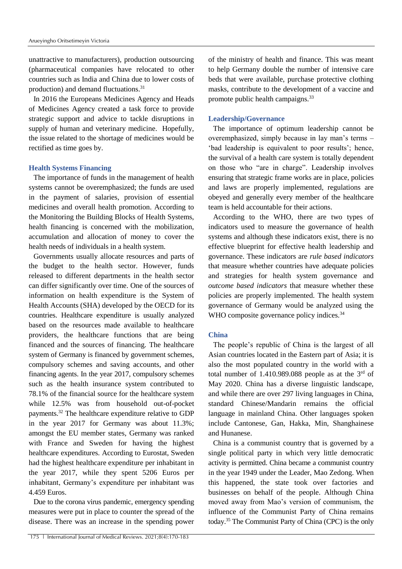unattractive to manufacturers), production outsourcing (pharmaceutical companies have relocated to other countries such as India and China due to lower costs of production) and demand fluctuations.<sup>31</sup>

In 2016 the Europeans Medicines Agency and Heads of Medicines Agency created a task force to provide strategic support and advice to tackle disruptions in supply of human and veterinary medicine. Hopefully, the issue related to the shortage of medicines would be rectified as time goes by.

### **Health Systems Financing**

The importance of funds in the management of health systems cannot be overemphasized; the funds are used in the payment of salaries, provision of essential medicines and overall health promotion. According to the Monitoring the Building Blocks of Health Systems, health financing is concerned with the mobilization, accumulation and allocation of money to cover the health needs of individuals in a health system.

Governments usually allocate resources and parts of the budget to the health sector. However, funds released to different departments in the health sector can differ significantly over time. One of the sources of information on health expenditure is the System of Health Accounts (SHA) developed by the OECD for its countries. Healthcare expenditure is usually analyzed based on the resources made available to healthcare providers, the healthcare functions that are being financed and the sources of financing. The healthcare system of Germany is financed by government schemes, compulsory schemes and saving accounts, and other financing agents. In the year 2017, compulsory schemes such as the health insurance system contributed to 78.1% of the financial source for the healthcare system while 12.5% was from household out-of-pocket payments.<sup>32</sup> The healthcare expenditure relative to GDP in the year 2017 for Germany was about 11.3%; amongst the EU member states, Germany was ranked with France and Sweden for having the highest healthcare expenditures. According to Eurostat, Sweden had the highest healthcare expenditure per inhabitant in the year 2017, while they spent 5206 Euros per inhabitant, Germany's expenditure per inhabitant was 4.459 Euros.

Due to the corona virus pandemic, emergency spending measures were put in place to counter the spread of the disease. There was an increase in the spending power of the ministry of health and finance. This was meant to help Germany double the number of intensive care beds that were available, purchase protective clothing masks, contribute to the development of a vaccine and promote public health campaigns.<sup>33</sup>

#### **Leadership/Governance**

The importance of optimum leadership cannot be overemphasized, simply because in lay man's terms – 'bad leadership is equivalent to poor results'; hence, the survival of a health care system is totally dependent on those who "are in charge". Leadership involves ensuring that strategic frame works are in place, policies and laws are properly implemented, regulations are obeyed and generally every member of the healthcare team is held accountable for their actions.

According to the WHO, there are two types of indicators used to measure the governance of health systems and although these indicators exist, there is no effective blueprint for effective health leadership and governance. These indicators are *rule based indicators*  that measure whether countries have adequate policies and strategies for health system governance and *outcome based indicators* that measure whether these policies are properly implemented. The health system governance of Germany would be analyzed using the WHO composite governance policy indices.<sup>34</sup>

#### **China**

The people's republic of China is the largest of all Asian countries located in the Eastern part of Asia; it is also the most populated country in the world with a total number of  $1.410.989.088$  people as at the 3<sup>rd</sup> of May 2020. China has a diverse linguistic landscape, and while there are over 297 living languages in China, standard Chinese/Mandarin remains the official language in mainland China. Other languages spoken include Cantonese, Gan, Hakka, Min, Shanghainese and Hunanese.

China is a communist country that is governed by a single political party in which very little democratic activity is permitted. China became a communist country in the year 1949 under the Leader, Mao Zedong. When this happened, the state took over factories and businesses on behalf of the people. Although China moved away from Mao's version of communism, the influence of the Communist Party of China remains today.<sup>35</sup> The Communist Party of China (CPC) is the only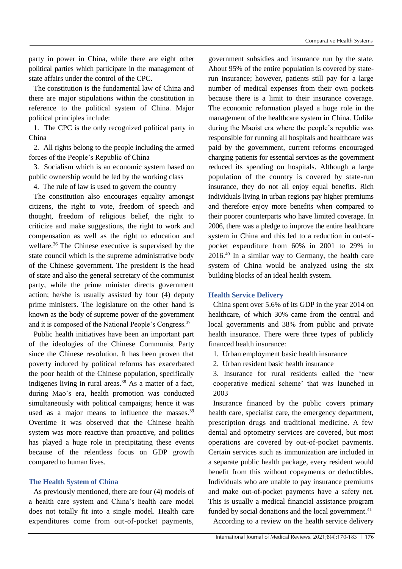party in power in China, while there are eight other political parties which participate in the management of state affairs under the control of the CPC.

The constitution is the fundamental law of China and there are major stipulations within the constitution in reference to the political system of China. Major political principles include:

1. The CPC is the only recognized political party in China

2. All rights belong to the people including the armed forces of the People's Republic of China

3. Socialism which is an economic system based on public ownership would be led by the working class

4. The rule of law is used to govern the country

The constitution also encourages equality amongst citizens, the right to vote, freedom of speech and thought, freedom of religious belief, the right to criticize and make suggestions, the right to work and compensation as well as the right to education and welfare.<sup>36</sup> The Chinese executive is supervised by the state council which is the supreme administrative body of the Chinese government. The president is the head of state and also the general secretary of the communist party, while the prime minister directs government action; he/she is usually assisted by four (4) deputy prime ministers. The legislature on the other hand is known as the body of supreme power of the government and it is composed of the National People's Congress.<sup>37</sup>

Public health initiatives have been an important part of the ideologies of the Chinese Communist Party since the Chinese revolution. It has been proven that poverty induced by political reforms has exacerbated the poor health of the Chinese population, specifically indigenes living in rural areas.<sup>38</sup> As a matter of a fact, during Mao's era, health promotion was conducted simultaneously with political campaigns; hence it was used as a major means to influence the masses. $39$ Overtime it was observed that the Chinese health system was more reactive than proactive, and politics has played a huge role in precipitating these events because of the relentless focus on GDP growth compared to human lives.

### **The Health System of China**

As previously mentioned, there are four (4) models of a health care system and China's health care model does not totally fit into a single model. Health care expenditures come from out-of-pocket payments,

government subsidies and insurance run by the state. About 95% of the entire population is covered by staterun insurance; however, patients still pay for a large number of medical expenses from their own pockets because there is a limit to their insurance coverage. The economic reformation played a huge role in the management of the healthcare system in China. Unlike during the Maoist era where the people's republic was responsible for running all hospitals and healthcare was paid by the government, current reforms encouraged charging patients for essential services as the government reduced its spending on hospitals. Although a large population of the country is covered by state-run insurance, they do not all enjoy equal benefits. Rich individuals living in urban regions pay higher premiums and therefore enjoy more benefits when compared to their poorer counterparts who have limited coverage. In 2006, there was a pledge to improve the entire healthcare system in China and this led to a reduction in out-ofpocket expenditure from 60% in 2001 to 29% in 2016.<sup>40</sup> In a similar way to Germany, the health care system of China would be analyzed using the six building blocks of an ideal health system.

### **Health Service Delivery**

China spent over 5.6% of its GDP in the year 2014 on healthcare, of which 30% came from the central and local governments and 38% from public and private health insurance. There were three types of publicly financed health insurance:

- 1. Urban employment basic health insurance
- 2. Urban resident basic health insurance

3. Insurance for rural residents called the 'new cooperative medical scheme' that was launched in 2003

Insurance financed by the public covers primary health care, specialist care, the emergency department, prescription drugs and traditional medicine. A few dental and optometry services are covered, but most operations are covered by out-of-pocket payments. Certain services such as immunization are included in a separate public health package, every resident would benefit from this without copayments or deductibles. Individuals who are unable to pay insurance premiums and make out-of-pocket payments have a safety net. This is usually a medical financial assistance program funded by social donations and the local government. $41$ 

According to a review on the health service delivery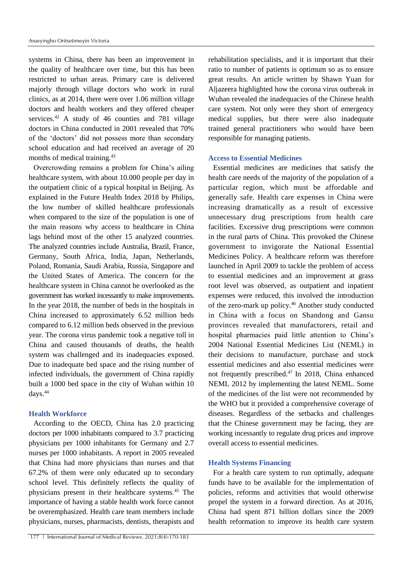systems in China, there has been an improvement in the quality of healthcare over time, but this has been restricted to urban areas. Primary care is delivered majorly through village doctors who work in rural clinics, as at 2014, there were over 1.06 million village doctors and health workers and they offered cheaper services.<sup>42</sup> A study of 46 counties and 781 village doctors in China conducted in 2001 revealed that 70% of the 'doctors' did not possess more than secondary school education and had received an average of 20 months of medical training.<sup>43</sup>

Overcrowding remains a problem for China's ailing healthcare system, with about 10.000 people per day in the outpatient clinic of a typical hospital in Beijing. As explained in the Future Health Index 2018 by Philips, the low number of skilled healthcare professionals when compared to the size of the population is one of the main reasons why access to healthcare in China lags behind most of the other 15 analyzed countries. The analyzed countries include Australia, Brazil, France, Germany, South Africa, India, Japan, Netherlands, Poland, Romania, Saudi Arabia, Russia, Singapore and the United States of America. The concern for the healthcare system in China cannot be overlooked as the government has worked incessantly to make improvements. In the year 2018, the number of beds in the hospitals in China increased to approximately 6.52 million beds compared to 6.12 million beds observed in the previous year. The corona virus pandemic took a negative toll in China and caused thousands of deaths, the health system was challenged and its inadequacies exposed. Due to inadequate bed space and the rising number of infected individuals, the government of China rapidly built a 1000 bed space in the city of Wuhan within 10 days.<sup>44</sup>

#### **Health Workforce**

According to the OECD, China has 2.0 practicing doctors per 1000 inhabitants compared to 3.7 practicing physicians per 1000 inhabitants for Germany and 2.7 nurses per 1000 inhabitants. A report in 2005 revealed that China had more physicians than nurses and that 67.2% of them were only educated up to secondary school level. This definitely reflects the quality of physicians present in their healthcare systems.<sup>45</sup> The importance of having a stable health work force cannot be overemphasized. Health care team members include physicians, nurses, pharmacists, dentists, therapists and

rehabilitation specialists, and it is important that their ratio to number of patients is optimum so as to ensure great results. An article written by Shawn Yuan for Aljazeera highlighted how the corona virus outbreak in Wuhan revealed the inadequacies of the Chinese health care system. Not only were they short of emergency medical supplies, but there were also inadequate trained general practitioners who would have been responsible for managing patients.

### **Access to Essential Medicines**

Essential medicines are medicines that satisfy the health care needs of the majority of the population of a particular region, which must be affordable and generally safe. Health care expenses in China were increasing dramatically as a result of excessive unnecessary drug prescriptions from health care facilities. Excessive drug prescriptions were common in the rural parts of China. This provoked the Chinese government to invigorate the National Essential Medicines Policy. A healthcare reform was therefore launched in April 2009 to tackle the problem of access to essential medicines and an improvement at grass root level was observed, as outpatient and inpatient expenses were reduced, this involved the introduction of the zero-mark up policy.<sup>46</sup> Another study conducted in China with a focus on Shandong and Gansu provinces revealed that manufacturers, retail and hospital pharmacies paid little attention to China's 2004 National Essential Medicines List (NEML) in their decisions to manufacture, purchase and stock essential medicines and also essential medicines were not frequently prescribed. $47$  In 2018, China enhanced NEML 2012 by implementing the latest NEML. Some of the medicines of the list were not recommended by the WHO but it provided a comprehensive coverage of diseases. Regardless of the setbacks and challenges that the Chinese government may be facing, they are working incessantly to regulate drug prices and improve overall access to essential medicines.

#### **Health Systems Financing**

For a health care system to run optimally, adequate funds have to be available for the implementation of policies, reforms and activities that would otherwise propel the system in a forward direction. As at 2016, China had spent 871 billion dollars since the 2009 health reformation to improve its health care system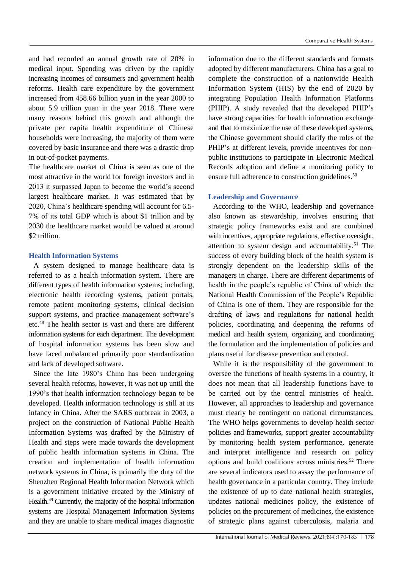and had recorded an annual growth rate of 20% in medical input. Spending was driven by the rapidly increasing incomes of consumers and government health reforms. Health care expenditure by the government increased from 458.66 billion yuan in the year 2000 to about 5.9 trillion yuan in the year 2018. There were many reasons behind this growth and although the private per capita health expenditure of Chinese households were increasing, the majority of them were covered by basic insurance and there was a drastic drop in out-of-pocket payments.

The healthcare market of China is seen as one of the most attractive in the world for foreign investors and in 2013 it surpassed Japan to become the world's second largest healthcare market. It was estimated that by 2020, China's healthcare spending will account for 6.5- 7% of its total GDP which is about \$1 trillion and by 2030 the healthcare market would be valued at around \$2 trillion.

## **Health Information Systems**

A system designed to manage healthcare data is referred to as a health information system. There are different types of health information systems; including, electronic health recording systems, patient portals, remote patient monitoring systems, clinical decision support systems, and practice management software's etc.<sup>48</sup> The health sector is vast and there are different information systems for each department. The development of hospital information systems has been slow and have faced unbalanced primarily poor standardization and lack of developed software.

Since the late 1980's China has been undergoing several health reforms, however, it was not up until the 1990's that health information technology began to be developed. Health information technology is still at its infancy in China. After the SARS outbreak in 2003, a project on the construction of National Public Health Information Systems was drafted by the Ministry of Health and steps were made towards the development of public health information systems in China. The creation and implementation of health information network systems in China, is primarily the duty of the Shenzhen Regional Health Information Network which is a government initiative created by the Ministry of Health.<sup>49</sup> Currently, the majority of the hospital information systems are Hospital Management Information Systems and they are unable to share medical images diagnostic

information due to the different standards and formats adopted by different manufacturers. China has a goal to complete the construction of a nationwide Health Information System (HIS) by the end of 2020 by integrating Population Health Information Platforms (PHIP). A study revealed that the developed PHIP's have strong capacities for health information exchange and that to maximize the use of these developed systems, the Chinese government should clarify the roles of the PHIP's at different levels, provide incentives for nonpublic institutions to participate in Electronic Medical Records adoption and define a monitoring policy to ensure full adherence to construction guidelines.<sup>50</sup>

### **Leadership and Governance**

According to the WHO, leadership and governance also known as stewardship, involves ensuring that strategic policy frameworks exist and are combined with incentives, appropriate regulations, effective oversight, attention to system design and accountability.<sup>51</sup> The success of every building block of the health system is strongly dependent on the leadership skills of the managers in charge. There are different departments of health in the people's republic of China of which the National Health Commission of the People's Republic of China is one of them. They are responsible for the drafting of laws and regulations for national health policies, coordinating and deepening the reforms of medical and health system, organizing and coordinating the formulation and the implementation of policies and plans useful for disease prevention and control.

While it is the responsibility of the government to oversee the functions of health systems in a country, it does not mean that all leadership functions have to be carried out by the central ministries of health. However, all approaches to leadership and governance must clearly be contingent on national circumstances. The WHO helps governments to develop health sector policies and frameworks, support greater accountability by monitoring health system performance, generate and interpret intelligence and research on policy options and build coalitions across ministries.<sup>52</sup> There are several indicators used to assay the performance of health governance in a particular country. They include the existence of up to date national health strategies, updates national medicines policy, the existence of policies on the procurement of medicines, the existence of strategic plans against tuberculosis, malaria and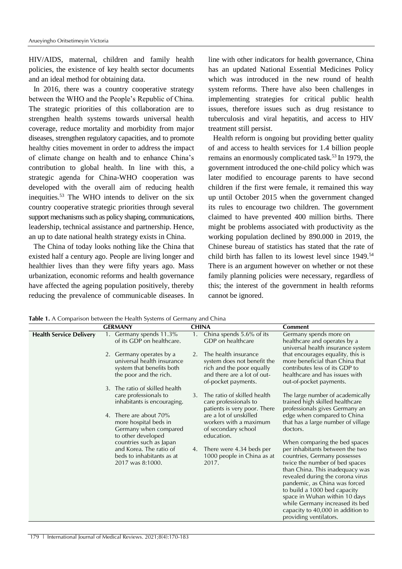HIV/AIDS, maternal, children and family health policies, the existence of key health sector documents and an ideal method for obtaining data.

In 2016, there was a country cooperative strategy between the WHO and the People's Republic of China. The strategic priorities of this collaboration are to strengthen health systems towards universal health coverage, reduce mortality and morbidity from major diseases, strengthen regulatory capacities, and to promote healthy cities movement in order to address the impact of climate change on health and to enhance China's contribution to global health. In line with this, a strategic agenda for China-WHO cooperation was developed with the overall aim of reducing health inequities.<sup>53</sup> The WHO intends to deliver on the six country cooperative strategic priorities through several support mechanisms such as policy shaping, communications, leadership, technical assistance and partnership. Hence, an up to date national health strategy exists in China.

The China of today looks nothing like the China that existed half a century ago. People are living longer and healthier lives than they were fifty years ago. Mass urbanization, economic reforms and health governance have affected the ageing population positively, thereby reducing the prevalence of communicable diseases. In line with other indicators for health governance, China has an updated National Essential Medicines Policy which was introduced in the new round of health system reforms. There have also been challenges in implementing strategies for critical public health issues, therefore issues such as drug resistance to tuberculosis and viral hepatitis, and access to HIV treatment still persist.

Health reform is ongoing but providing better quality of and access to health services for 1.4 billion people remains an enormously complicated task.<sup>53</sup> In 1979, the government introduced the one-child policy which was later modified to encourage parents to have second children if the first were female, it remained this way up until October 2015 when the government changed its rules to encourage two children. The government claimed to have prevented 400 million births. There might be problems associated with productivity as the working population declined by 890.000 in 2019, the Chinese bureau of statistics has stated that the rate of child birth has fallen to its lowest level since 1949.<sup>54</sup> There is an argument however on whether or not these family planning policies were necessary, regardless of this; the interest of the government in health reforms cannot be ignored.

**Table 1.** A Comparison between the Health Systems of Germany and China

|                                | <b>GERMANY</b>                                                                                                                                                                                 | <b>CHINA</b>                                                                                                                                                                        | <b>Comment</b>                                                                                                                                                                                                                                                                                                                                                                                                |
|--------------------------------|------------------------------------------------------------------------------------------------------------------------------------------------------------------------------------------------|-------------------------------------------------------------------------------------------------------------------------------------------------------------------------------------|---------------------------------------------------------------------------------------------------------------------------------------------------------------------------------------------------------------------------------------------------------------------------------------------------------------------------------------------------------------------------------------------------------------|
| <b>Health Service Delivery</b> | 1. Germany spends 11.3%<br>of its GDP on healthcare.                                                                                                                                           | China spends 5.6% of its<br>1.<br>GDP on healthcare                                                                                                                                 | Germany spends more on<br>healthcare and operates by a<br>universal health insurance system                                                                                                                                                                                                                                                                                                                   |
|                                | 2. Germany operates by a<br>universal health insurance<br>system that benefits both<br>the poor and the rich.                                                                                  | The health insurance<br>2.<br>system does not benefit the<br>rich and the poor equally<br>and there are a lot of out-<br>of-pocket payments.                                        | that encourages equality, this is<br>more beneficial than China that<br>contributes less of its GDP to<br>healthcare and has issues with<br>out-of-pocket payments.                                                                                                                                                                                                                                           |
|                                | The ratio of skilled health<br>3.<br>care professionals to<br>inhabitants is encouraging.<br>There are about 70%<br>4.<br>more hospital beds in<br>Germany when compared<br>to other developed | The ratio of skilled health<br>3.<br>care professionals to<br>patients is very poor. There<br>are a lot of unskilled<br>workers with a maximum<br>of secondary school<br>education. | The large number of academically<br>trained high skilled healthcare<br>professionals gives Germany an<br>edge when compared to China<br>that has a large number of village<br>doctors.                                                                                                                                                                                                                        |
|                                | countries such as Japan<br>and Korea. The ratio of<br>beds to inhabitants as at<br>2017 was 8:1000.                                                                                            | There were 4.34 beds per<br>4.<br>1000 people in China as at<br>2017.                                                                                                               | When comparing the bed spaces<br>per inhabitants between the two<br>countries, Germany possesses<br>twice the number of bed spaces<br>than China. This inadequacy was<br>revealed during the corona virus<br>pandemic, as China was forced<br>to build a 1000 bed capacity<br>space in Wuhan within 10 days<br>while Germany increased its bed<br>capacity to 40,000 in addition to<br>providing ventilators. |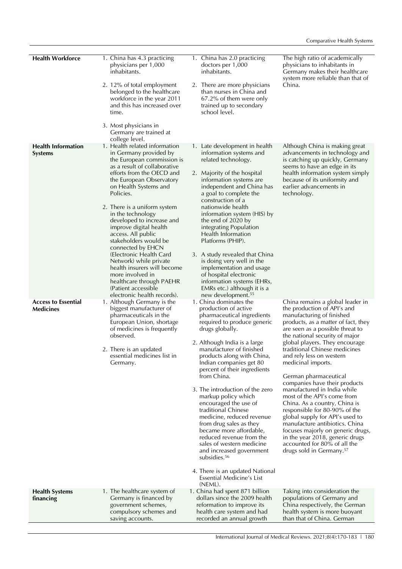| <b>Health Workforce</b>                        | 1. China has 4.3 practicing<br>physicians per 1,000<br>inhabitants.<br>2. 12% of total employment                                                                                                           | 1. China has 2.0 practicing<br>doctors per 1,000<br>inhabitants.<br>2. There are more physicians                                                                                                                      | The high ratio of academically<br>physicians to inhabitants in<br>Germany makes their healthcare<br>system more reliable than that of<br>China.                                                                                                                                                                                                                                                                                                          |
|------------------------------------------------|-------------------------------------------------------------------------------------------------------------------------------------------------------------------------------------------------------------|-----------------------------------------------------------------------------------------------------------------------------------------------------------------------------------------------------------------------|----------------------------------------------------------------------------------------------------------------------------------------------------------------------------------------------------------------------------------------------------------------------------------------------------------------------------------------------------------------------------------------------------------------------------------------------------------|
|                                                | belonged to the healthcare<br>workforce in the year 2011<br>and this has increased over<br>time.                                                                                                            | than nurses in China and<br>67.2% of them were only<br>trained up to secondary<br>school level.                                                                                                                       |                                                                                                                                                                                                                                                                                                                                                                                                                                                          |
|                                                | 3. Most physicians in<br>Germany are trained at<br>college level.                                                                                                                                           |                                                                                                                                                                                                                       |                                                                                                                                                                                                                                                                                                                                                                                                                                                          |
| <b>Health Information</b><br><b>Systems</b>    | 1. Health related information<br>in Germany provided by<br>the European commission is<br>as a result of collaborative                                                                                       | 1. Late development in health<br>information systems and<br>related technology.                                                                                                                                       | Although China is making great<br>advancements in technology and<br>is catching up quickly, Germany<br>seems to have an edge in its                                                                                                                                                                                                                                                                                                                      |
|                                                | efforts from the OECD and<br>the European Observatory<br>on Health Systems and<br>Policies.                                                                                                                 | 2. Majority of the hospital<br>information systems are<br>independent and China has<br>a goal to complete the<br>construction of a                                                                                    | health information system simply<br>because of its uniformity and<br>earlier advancements in<br>technology.                                                                                                                                                                                                                                                                                                                                              |
|                                                | 2. There is a uniform system<br>in the technology<br>developed to increase and<br>improve digital health<br>access. All public<br>stakeholders would be                                                     | nationwide health<br>information system (HIS) by<br>the end of 2020 by<br>integrating Population<br>Health Information<br>Platforms (PHIP).                                                                           |                                                                                                                                                                                                                                                                                                                                                                                                                                                          |
|                                                | connected by EHCN<br>(Electronic Health Card<br>Network) while private<br>health insurers will become<br>more involved in<br>healthcare through PAEHR<br>(Patient accessible<br>electronic health records). | 3. A study revealed that China<br>is doing very well in the<br>implementation and usage<br>of hospital electronic<br>information systems (EHRs,<br>EMRs etc.) although it is a<br>new development. <sup>55</sup>      |                                                                                                                                                                                                                                                                                                                                                                                                                                                          |
| <b>Access to Essential</b><br><b>Medicines</b> | 1. Although Germany is the<br>biggest manufacturer of<br>pharmaceuticals in the<br>European Union, shortage<br>of medicines is frequently<br>observed.                                                      | 1. China dominates the<br>production of active<br>pharmaceutical ingredients<br>required to produce generic<br>drugs globally.                                                                                        | China remains a global leader in<br>the production of API's and<br>manufacturing of finished<br>products, as a matter of fact, they<br>are seen as a possible threat to<br>the national security of major                                                                                                                                                                                                                                                |
|                                                | 2. There is an updated<br>essential medicines list in<br>Germany.                                                                                                                                           | 2. Although India is a large<br>manufacturer of finished<br>products along with China,<br>Indian companies get 80<br>percent of their ingredients<br>from China.                                                      | global players. They encourage<br>traditional Chinese medicines<br>and rely less on western<br>medicinal imports.<br>German pharmaceutical<br>companies have their products<br>manufactured in India while<br>most of the API's come from<br>China. As a country, China is<br>responsible for 80-90% of the<br>global supply for API's used to<br>manufacture antibiotics. China<br>focuses majorly on generic drugs,<br>in the year 2018, generic drugs |
|                                                |                                                                                                                                                                                                             | 3. The introduction of the zero<br>markup policy which<br>encouraged the use of<br>traditional Chinese<br>medicine, reduced revenue<br>from drug sales as they<br>became more affordable,<br>reduced revenue from the |                                                                                                                                                                                                                                                                                                                                                                                                                                                          |
|                                                |                                                                                                                                                                                                             | sales of western medicine<br>and increased government<br>subsidies. <sup>56</sup>                                                                                                                                     | accounted for 80% of all the<br>drugs sold in Germany. <sup>57</sup>                                                                                                                                                                                                                                                                                                                                                                                     |
|                                                |                                                                                                                                                                                                             | 4. There is an updated National<br>Essential Medicine's List<br>(NEML).                                                                                                                                               |                                                                                                                                                                                                                                                                                                                                                                                                                                                          |
| <b>Health Systems</b><br>financing             | 1. The healthcare system of<br>Germany is financed by<br>government schemes,<br>compulsory schemes and<br>saving accounts.                                                                                  | 1. China had spent 871 billion<br>dollars since the 2009 health<br>reformation to improve its<br>health care system and had<br>recorded an annual growth                                                              | Taking into consideration the<br>populations of Germany and<br>China respectively, the German<br>health system is more buoyant<br>than that of China. German                                                                                                                                                                                                                                                                                             |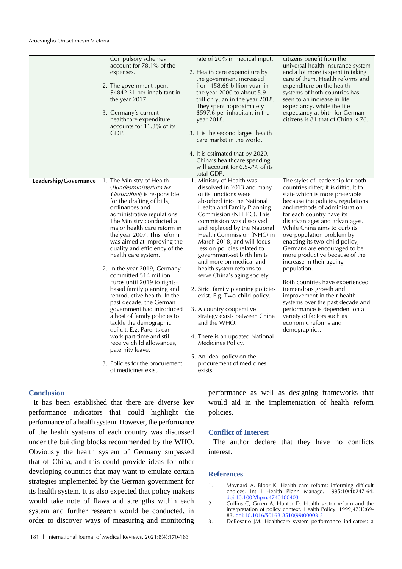|                       | Compulsory schemes<br>account for 78.1% of the<br>expenses.<br>2. The government spent<br>\$4842.31 per inhabitant in<br>the year 2017.<br>3. Germany's current<br>healthcare expenditure<br>accounts for 11.3% of its<br>GDP.                                                                                                                                                                                                                                                                                                                                                                                                                                                                                                                                                            | rate of 20% in medical input.<br>2. Health care expenditure by<br>the government increased<br>from 458.66 billion yuan in<br>the year 2000 to about 5.9<br>trillion yuan in the year 2018.<br>They spent approximately<br>\$597.6 per inhabitant in the<br>year 2018.<br>3. It is the second largest health<br>care market in the world.<br>4. It is estimated that by 2020,<br>China's healthcare spending<br>will account for 6.5-7% of its<br>total GDP.                                                                                                                                                                                                                                                                           | citizens benefit from the<br>universal health insurance system<br>and a lot more is spent in taking<br>care of them. Health reforms and<br>expenditure on the health<br>systems of both countries has<br>seen to an increase in life<br>expectancy, while the life<br>expectancy at birth for German<br>citizens is 81 that of China is 76.                                                                                                                                                                                                                                                                                                                                                        |
|-----------------------|-------------------------------------------------------------------------------------------------------------------------------------------------------------------------------------------------------------------------------------------------------------------------------------------------------------------------------------------------------------------------------------------------------------------------------------------------------------------------------------------------------------------------------------------------------------------------------------------------------------------------------------------------------------------------------------------------------------------------------------------------------------------------------------------|---------------------------------------------------------------------------------------------------------------------------------------------------------------------------------------------------------------------------------------------------------------------------------------------------------------------------------------------------------------------------------------------------------------------------------------------------------------------------------------------------------------------------------------------------------------------------------------------------------------------------------------------------------------------------------------------------------------------------------------|----------------------------------------------------------------------------------------------------------------------------------------------------------------------------------------------------------------------------------------------------------------------------------------------------------------------------------------------------------------------------------------------------------------------------------------------------------------------------------------------------------------------------------------------------------------------------------------------------------------------------------------------------------------------------------------------------|
| Leadership/Governance | 1. The Ministry of Health<br>(Bundesministerium fьr<br>Gesundheit) is responsible<br>for the drafting of bills,<br>ordinances and<br>administrative regulations.<br>The Ministry conducted a<br>major health care reform in<br>the year 2007. This reform<br>was aimed at improving the<br>quality and efficiency of the<br>health care system.<br>2. In the year 2019, Germany<br>committed 514 million<br>Euros until 2019 to rights-<br>based family planning and<br>reproductive health. In the<br>past decade, the German<br>government had introduced<br>a host of family policies to<br>tackle the demographic<br>deficit. E.g. Parents can<br>work part-time and still<br>receive child allowances,<br>paternity leave.<br>3. Policies for the procurement<br>of medicines exist. | 1. Ministry of Health was<br>dissolved in 2013 and many<br>of its functions were<br>absorbed into the National<br>Health and Family Planning<br>Commission (NHFPC). This<br>commission was dissolved<br>and replaced by the National<br>Health Commission (NHC) in<br>March 2018, and will focus<br>less on policies related to<br>government-set birth limits<br>and more on medical and<br>health system reforms to<br>serve China's aging society.<br>2. Strict family planning policies<br>exist. E.g. Two-child policy.<br>3. A country cooperative<br>strategy exists between China<br>and the WHO.<br>4. There is an updated National<br>Medicines Policy.<br>5. An ideal policy on the<br>procurement of medicines<br>exists. | The styles of leadership for both<br>countries differ; it is difficult to<br>state which is more preferable<br>because the policies, regulations<br>and methods of administration<br>for each country have its<br>disadvantages and advantages.<br>While China aims to curb its<br>overpopulation problem by<br>enacting its two-child policy,<br>Germans are encouraged to be<br>more productive because of the<br>increase in their ageing<br>population.<br>Both countries have experienced<br>tremendous growth and<br>improvement in their health<br>systems over the past decade and<br>performance is dependent on a<br>variety of factors such as<br>economic reforms and<br>demographics. |

#### **Conclusion**

It has been established that there are diverse key performance indicators that could highlight the performance of a health system. However, the performance of the health systems of each country was discussed under the building blocks recommended by the WHO. Obviously the health system of Germany surpassed that of China, and this could provide ideas for other developing countries that may want to emulate certain strategies implemented by the German government for its health system. It is also expected that policy makers would take note of flaws and strengths within each system and further research would be conducted, in order to discover ways of measuring and monitoring

performance as well as designing frameworks that would aid in the implementation of health reform policies.

#### **Conflict of Interest**

The author declare that they have no conflicts interest.

#### **References**

- 1. Maynard A, Bloor K. Health care reform: informing difficult choices. Int J Health Plann Manage. 1995;10(4):247-64. [doi:10.1002/hpm.4740100403](https://doi.org/10.1002/hpm.4740100403)
- 2. Collins C, Green A, Hunter D. Health sector reform and the interpretation of policy context. Health Policy. 1999;47(1):69- 83. [doi:10.1016/S0168-8510\(99\)00003-2](https://doi.org/10.1016/S0168-8510(99)00003-2)
- 3. DeRosario JM. Healthcare system performance indicators: a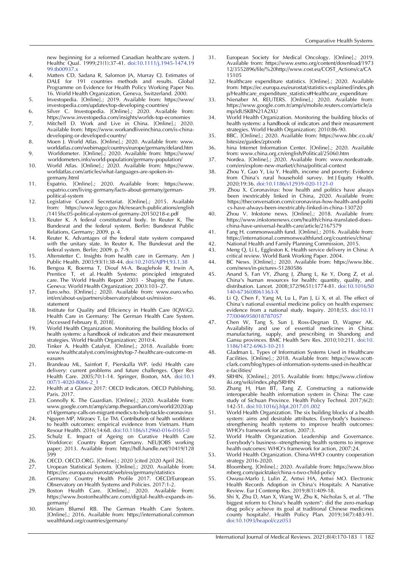new beginning for a reformed Canadian healthcare system. J Healthc Qual. 1999;21(1):37-41. [doi:10.1111/j.1945-1474.19](https://doi.org/10.1111/j.1945-1474.1999.tb00937.x) 99.tb00937.y

- 4. Matters CD, Sadana R, Salomon JA, Murray CJ. Estimates of DALE for 191 countries methods and results. Global Programme on Evidence for Health Policy Working Paper No. 16. World Health Organization, Geneva, Switzerland. 2000.
- 5. Investopedia. [Online].; 2019. Available from: [https://www/](https://www/%20investopedia.com/updates/top-developing-countries/)  [investopedia.com/updates/top-developing-countries/](https://www/%20investopedia.com/updates/top-developing-countries/)
- 6. Silver C. Investopedia. [Online].; 2020. Available from: <https://www.investopedia.com/insights/worlds-top-economies>
- 7. Mitchell D. Work and Live in China. [Online].; 2020. Available from[: https://www.workandliveinchina.com/is-china](https://www.workandliveinchina.com/is-china-developing-or-developed-country/)[developing-or-developed-country/](https://www.workandliveinchina.com/is-china-developing-or-developed-country/)
- 8. Moen J. World Atlas. [Online].; 2020. Available from: www. [worldatlas.com/webimage/countrys/europe/germany/deland.htm](http://www.worldatlas.com/webimage/countrys/europe/germany/deland.htm) 9. Worldometer. [Online].; 2020. Available from: [https://www/](https://www/%20worldometers.info/world-population/germany-population/)
- [worldometers.info/world-population/germany-population/](https://www/%20worldometers.info/world-population/germany-population/) 10. World Atlas. [Online].; 2020. Available from: https://www.
- worldatlas.com/articles/what-languages-are-spoken-ingermany.html
- 11. Expatrio. [Online].; 2020. Available from: https://www. expatrio.com/living-germany/facts-about-germany/germanpolitical-system
- 12. Legislative Council Secretariat. [Online].; 2015. Available from: [https://www.legco.gov.hk/research-publications/english](https://www.legco.gov.hk/research-publications/english%20/1415fsc05-political-system-of-germany-20150218-e.pdf)  [/1415fsc05-political-system-of-germany-20150218-e.pdf](https://www.legco.gov.hk/research-publications/english%20/1415fsc05-political-system-of-germany-20150218-e.pdf)
- 13. Reuter K. A federal constitutional body. In Reuter K. The Bundesrat and the federal system. Berlin: Bundesrat Public Relations, Germany; 2009. p. 4.
- 14. Reuter K. Advantages of the federal state system compared with the unitary state. In Reuter K. The Bundesrat and the federal system. Berlin; 2009. p. 7-9.
- 15. Altenstetter C. Insights from health care in Germany. Am J Public Health. 2003;93(1):38-44. [doi:10.2105/AJPH.93.1.38](https://doi.org/10.2105/AJPH.93.1.38)
- 16. Bengoa R, Boerma T, Diouf M-A. Beaglehole R, Irwin A, Prentice T, et al. Health Systems: principled integrated care. The World Health Report 2003 - Shaping the Future. Geneva: World Health Organization; 2003:103–27.
- 17. Euro.who. [Online].; 2020. Available from: www.euro.who. int/en/about-us/partners/observatory/about-us/missionstatement
- 18. Institute for Quality and Efficiency in Health Care (IQWiG). Health Care in Germany: The German Health Care System. [Accessed February 8, 2018].
- 19. World Health Organization. Monitoring the building blocks of health systems: a handbook of indicators and their measurement strategies. World Health Organization; 2010:4.
- 20. Tinker A. Health Catalyst. [Online].; 2018. Available from: [www.healthcatalyst.com/insights/top-7-healthcare-outcome-m](http://www.healthcatalyst.com/insights/top-7-healthcare-outcome-m%20easures)  [easures](http://www.healthcatalyst.com/insights/top-7-healthcare-outcome-m%20easures)
- 21. Brandeau ML, Sainfort F, Pierskalla WP. (eds) Health care delivery: current problems and future challenges. Oper Res Health Care. 2005;70:1-14. Springer, Boston, MA. doi:10.1 007/1-4020-8066-2\_1
- 22. Health at a Glance 2017: OECD Indicators. OECD Publishing, Paris. 2017.
- 23. Connolly K. The Guardian. [Online].; 2020. Available from: [www.google.com.tr/amp/s/amp.theguardian.com/world/2020/ap](http://www.google.com.tr/amp/s/amp.theguardian.com/world/2020/apr/14/germany-calls-on-migrant-medics-to-help-tackle-coronavirus) [r/14/germany-calls-on-migrant-medics-to-help-tackle-coronavirus](http://www.google.com.tr/amp/s/amp.theguardian.com/world/2020/apr/14/germany-calls-on-migrant-medics-to-help-tackle-coronavirus)
- 24. Nguyen MP, Mirzoev T, Le TM. Contribution of health workforce to health outcomes: empirical evidence from Vietnam. Hum Resour Health. 2016;14:68[. doi:10.1186/s12960-016-0165-0](https://doi.org/10.1186/s12960-016-0165-0)
- 25. Schulz E. Impact of Ageing on Curative Health Care Workforce: Country Report Germany. NEUJOBS working paper; 2013. Available from: http://hdl.handle.net/10419/128 [599](http://hdl.handle.net/10419/128%20599)
- 26. OECD. OECD.ORG. [Online].; 2020 [cited 2020 April 26].<br>27. Uropean Statistical System. [Online].; 2020. Available fr
- Uropean Statistical System. [Online].; 2020. Available from: <https://ec.europa.eu/eurostat/web/ess/germany/statistics>
- 28. Germany: Country Health Profile 2017. OECD/European Observatory on Health Systems and Policies. 2017:1-2.
- 29. Boston Health Care. [Online].; 2020. Available from: [https://www.bostonhealthcare.com/digital-health-expands-in](https://www.bostonhealthcare.com/digital-health-expands-in-germany/)[germany/](https://www.bostonhealthcare.com/digital-health-expands-in-germany/)
- 30. Miriam Blumel RB. The German Health Care System. [Online].; 2016. Available from: https://international.common wealthfund.org/countries/germany/
- 31. European Society for Medical Oncology. [Online].; 2019. Available from: [https://www.esmo.org/content/download/1973](https://www.esmo.org/content/download/1973%2012/3552896/file/%20http:/www.cost.eu/COST_Actions/ca/CA15105)  [12/3552896/file/%20http://www.cost.eu/COST\\_Actions/ca/CA](https://www.esmo.org/content/download/1973%2012/3552896/file/%20http:/www.cost.eu/COST_Actions/ca/CA15105) [15105](https://www.esmo.org/content/download/1973%2012/3552896/file/%20http:/www.cost.eu/COST_Actions/ca/CA15105)
- 32. Healthcare expenditure statistics. [Online].; 2020. Available from: [https://ec.europa.eu/eurostat/statistics-explained/index.ph](https://ec.europa.eu/eurostat/statistics-explained/index.ph%20p/Healthcare_expenditure_statistics#Healthcare_expenditure)  [p/Healthcare\\_expenditure\\_statistics#Healthcare\\_expenditure](https://ec.europa.eu/eurostat/statistics-explained/index.ph%20p/Healthcare_expenditure_statistics#Healthcare_expenditure)
- 33. Nienaber M. REUTERS. [Online].; 2020. Available from: [https://www.google.com.tr/amp/s/mobile.reuters.com/article/a](https://www.google.com.tr/amp/s/mobile.reuters.com/article/amp/idUSKBN21A2XU) [mp/idUSKBN21A2XU](https://www.google.com.tr/amp/s/mobile.reuters.com/article/amp/idUSKBN21A2XU)
- 34. World Health Organization. Monitoring the building blocks of health systems: a handbook of indicators and their measurement strategies. World Health Organization; 2010:86-90.
- 35. BBC. [Online].; 2020. Available from: [https://www.bbc.co.uk/](https://www.bbc.co.uk/%20bitesize/guides/zptxxnb)  [bitesize/guides/zptxxnb](https://www.bbc.co.uk/%20bitesize/guides/zptxxnb)
- 36. hina Internet Information Center. [Online].; 2020. Available from: [www.china.org.cn/english/Political/25060.htm](file:///C:/Users/Teknoloji/Desktop/publish/www.china.org.cn/english/Political/25060.htm)
- 37. Nordea. [Online].; 2020. Available from: www.nordeatrade. com/en/explore-new-market/china/political-context
- 38. Zhou Y, Guo Y, Liu Y. Health, income and poverty: Evidence from China's rural household survey. Int J Equity Health. 2020;19:36. [doi:10.1186/s12939-020-1121-0](https://doi.org/10.1186/s12939-020-1121-0)
- 39. Zhou X. Coronavirus: how health and politics have always been inextricably linked in China, 2020. Available from: <https://theconversation.com/coronavirus-how-health-and-politi> cs-have-always-been-inextricably-linked-in-china-130720
- 40. Zhou V. Inkstone news. [Online].; 2018. Available from: [https://www.inkstonenews.com/health/china-translated-does](https://www.inkstonenews.com/health/china-translated-does-china-have-universal-health-care/article/2167579)[china-have-universal-health-care/article/2167579](https://www.inkstonenews.com/health/china-translated-does-china-have-universal-health-care/article/2167579)
- 41. Fang H. commonwealth fund. [Online].; 2016. Available from: <https://international.commonwealthfund.org/countries/china/>
- 42. National Health and Family Planning Commission, 2015.<br>43. Meng Q, Li L, Eggleston K. Health service delivery in Ch
- Meng Q, Li L, Eggleston K. Health service delivery in China: A critical review. World Bank Working Paper. 2004.
- 44. BC News. [Online].; 2020. Available from: https://www.bbc. com/news/in-pictures-51280586
- 45. Anand S, Fan VY, Zhang J, Zhang L, Ke Y, Dong Z, et al. China's human resources for health: quantity, quality, and distribution. Lancet. 2008;372(9651):1774-81. [doi:10.1016/S0](https://doi.org/10.1016/S0140-6736(08)61363-X) [140-6736\(08\)61363-X](https://doi.org/10.1016/S0140-6736(08)61363-X)
- 46. Li Q, Chen F, Yang M, Lu L, Pan J, Li X, et al. The effect of China's national essential medicine policy on health expenses: evidence from a national study. Inquiry. 2018;55. [doi:10.11](https://doi.org/10.1177%2F0046958018787057) [77/0046958018787057](https://doi.org/10.1177%2F0046958018787057)
- 47. Chen W, Tang S, Sun J, Ross-Degnan D, Wagner AK. Availability and use of essential medicines in China: manufacturing, supply, and prescribing in Shandong and Gansu provinces. BMC Health Serv Res. 2010;10:211. [doi:10.](https://doi.org/10.1186/1472-6963-10-211) [1186/1472-6963-10-211](https://doi.org/10.1186/1472-6963-10-211)
- 48. Gladman L. Types of Information Systems Used in Healthcare Facilities. [Online].; 2018. Available from: [https://www.scott](https://www.scott-clark.com/blog/types-of-information-systems-used-in-healthcar%20e-facilities/)[clark.com/blog/types-of-information-systems-used-in-healthcar](https://www.scott-clark.com/blog/types-of-information-systems-used-in-healthcar%20e-facilities/)  [e-facilities/](https://www.scott-clark.com/blog/types-of-information-systems-used-in-healthcar%20e-facilities/)
- 49. SRHIN. [Online].; 2015. Available from: https://www.clinfow iki.org/wiki/index.php/SRHIN
- 50. Zhang H, Han BT, Tang Z. Constructing a nationwide interoperable health information system in China: The case study of Sichuan Province. Health Policy Technol. 2017;6(2): 142-51. [doi:10.1016/j.hlpt.2017.01.002](https://doi.org/10.1016/j.hlpt.2017.01.002)
- 51. World Health Organization. The six building blocks of a health system: aims and desirable attributes. Everybody's business- strengthening health systems to improve health outcomes: WHO's framework for action, 2007:3.
- 52. World Health Organization. Leadership and Governance. Everybody's business--strengthening health systems to improve health outcomes: WHO's framework for action, 2007:24.
- 53. World Health Organization. China-WHO country cooperation strategy 2016-2020.
- 54. Bloomberg. [Online].; 2020. Available from: https://www.bloo mberg.com/quicktake/china-s-two-child-policy
- 55. Owusu-Marfo J, Lulin Z, Antwi HA, Antwi MO. Electronic Health Records Adoption in China's Hospitals: A Narrative Review. Eur J Contemp Res. 2019;8(1):409-18.
- 56. Shi X, Zhu D, Man X, Wang W, Zhu K, Nicholas S, et al. "The biggest reform to China's health system": did the zero-markup drug policy achieve its goal at traditional Chinese medicines county hospitals?. Health Policy Plan. 2019;34(7):483-91. [doi:10.1093/heapol/czz053](https://doi.org/10.1093/heapol/czz053)